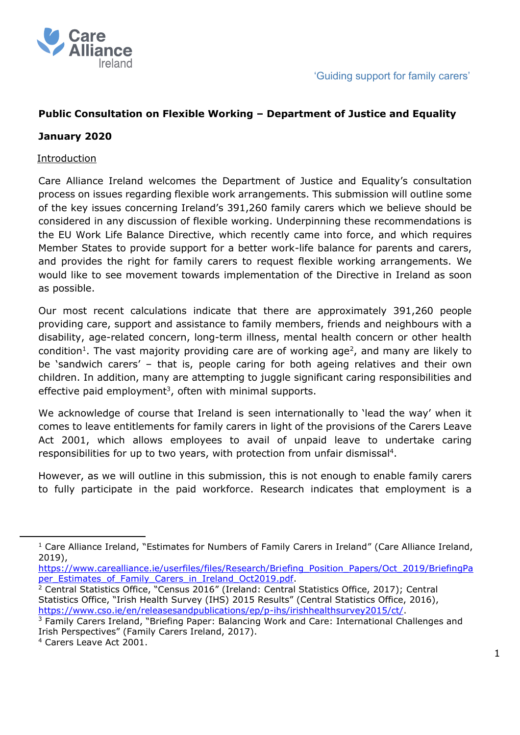

# **Public Consultation on Flexible Working – Department of Justice and Equality**

### **January 2020**

### Introduction

Care Alliance Ireland welcomes the Department of Justice and Equality's consultation process on issues regarding flexible work arrangements. This submission will outline some of the key issues concerning Ireland's 391,260 family carers which we believe should be considered in any discussion of flexible working. Underpinning these recommendations is the EU Work Life Balance Directive, which recently came into force, and which requires Member States to provide support for a better work-life balance for parents and carers, and provides the right for family carers to request flexible working arrangements. We would like to see movement towards implementation of the Directive in Ireland as soon as possible.

Our most recent calculations indicate that there are approximately 391,260 people providing care, support and assistance to family members, friends and neighbours with a disability, age-related concern, long-term illness, mental health concern or other health condition<sup>1</sup>. The vast majority providing care are of working age<sup>2</sup>, and many are likely to be 'sandwich carers' – that is, people caring for both ageing relatives and their own children. In addition, many are attempting to juggle significant caring responsibilities and effective paid employment<sup>3</sup>, often with minimal supports.

We acknowledge of course that Ireland is seen internationally to 'lead the way' when it comes to leave entitlements for family carers in light of the provisions of the Carers Leave Act 2001, which allows employees to avail of unpaid leave to undertake caring responsibilities for up to two years, with protection from unfair dismissal<sup>4</sup>.

However, as we will outline in this submission, this is not enough to enable family carers to fully participate in the paid workforce. Research indicates that employment is a

[https://www.carealliance.ie/userfiles/files/Research/Briefing\\_Position\\_Papers/Oct\\_2019/BriefingPa](https://www.carealliance.ie/userfiles/files/Research/Briefing_Position_Papers/Oct_2019/BriefingPaper_Estimates_of_Family_Carers_in_Ireland_Oct2019.pdf) [per\\_Estimates\\_of\\_Family\\_Carers\\_in\\_Ireland\\_Oct2019.pdf.](https://www.carealliance.ie/userfiles/files/Research/Briefing_Position_Papers/Oct_2019/BriefingPaper_Estimates_of_Family_Carers_in_Ireland_Oct2019.pdf)

<sup>2</sup> Central Statistics Office, "Census 2016" (Ireland: Central Statistics Office, 2017); Central Statistics Office, "Irish Health Survey (IHS) 2015 Results" (Central Statistics Office, 2016), [https://www.cso.ie/en/releasesandpublications/ep/p-ihs/irishhealthsurvey2015/ct/.](https://www.cso.ie/en/releasesandpublications/ep/p-ihs/irishhealthsurvey2015/ct/)

 $1$  Care Alliance Ireland, "Estimates for Numbers of Family Carers in Ireland" (Care Alliance Ireland, 2019),

<sup>&</sup>lt;sup>3</sup> Family Carers Ireland, "Briefing Paper: Balancing Work and Care: International Challenges and Irish Perspectives" (Family Carers Ireland, 2017).

<sup>4</sup> Carers Leave Act 2001.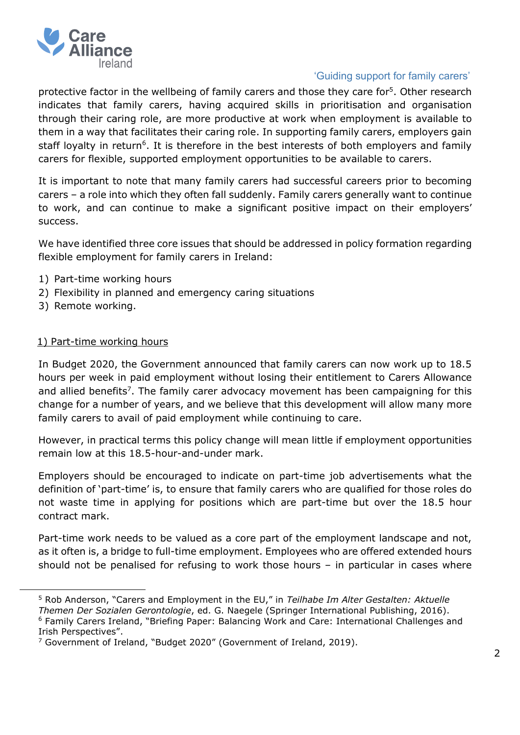

# 'Guiding support for family carers'

protective factor in the wellbeing of family carers and those they care for<sup>5</sup>. Other research indicates that family carers, having acquired skills in prioritisation and organisation through their caring role, are more productive at work when employment is available to them in a way that facilitates their caring role. In supporting family carers, employers gain staff loyalty in return<sup>6</sup>. It is therefore in the best interests of both employers and family carers for flexible, supported employment opportunities to be available to carers.

It is important to note that many family carers had successful careers prior to becoming carers – a role into which they often fall suddenly. Family carers generally want to continue to work, and can continue to make a significant positive impact on their employers' success.

We have identified three core issues that should be addressed in policy formation regarding flexible employment for family carers in Ireland:

- 1) Part-time working hours
- 2) Flexibility in planned and emergency caring situations
- 3) Remote working.

#### 1) Part-time working hours

In Budget 2020, the Government announced that family carers can now work up to 18.5 hours per week in paid employment without losing their entitlement to Carers Allowance and allied benefits<sup>7</sup>. The family carer advocacy movement has been campaigning for this change for a number of years, and we believe that this development will allow many more family carers to avail of paid employment while continuing to care.

However, in practical terms this policy change will mean little if employment opportunities remain low at this 18.5-hour-and-under mark.

Employers should be encouraged to indicate on part-time job advertisements what the definition of 'part-time' is, to ensure that family carers who are qualified for those roles do not waste time in applying for positions which are part-time but over the 18.5 hour contract mark.

Part-time work needs to be valued as a core part of the employment landscape and not, as it often is, a bridge to full-time employment. Employees who are offered extended hours should not be penalised for refusing to work those hours – in particular in cases where

<sup>5</sup> Rob Anderson, "Carers and Employment in the EU," in *Teilhabe Im Alter Gestalten: Aktuelle* 

*Themen Der Sozialen Gerontologie*, ed. G. Naegele (Springer International Publishing, 2016). <sup>6</sup> Family Carers Ireland, "Briefing Paper: Balancing Work and Care: International Challenges and Irish Perspectives".

<sup>&</sup>lt;sup>7</sup> Government of Ireland, "Budget 2020" (Government of Ireland, 2019).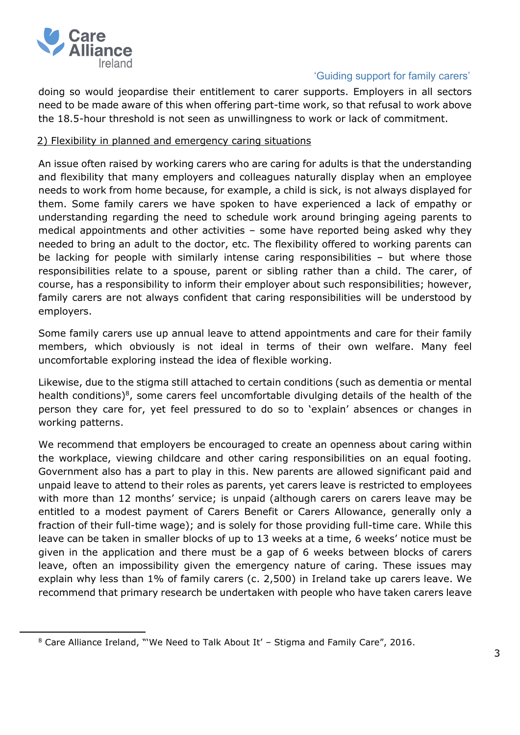

## 'Guiding support for family carers'

doing so would jeopardise their entitlement to carer supports. Employers in all sectors need to be made aware of this when offering part-time work, so that refusal to work above the 18.5-hour threshold is not seen as unwillingness to work or lack of commitment.

#### 2) Flexibility in planned and emergency caring situations

An issue often raised by working carers who are caring for adults is that the understanding and flexibility that many employers and colleagues naturally display when an employee needs to work from home because, for example, a child is sick, is not always displayed for them. Some family carers we have spoken to have experienced a lack of empathy or understanding regarding the need to schedule work around bringing ageing parents to medical appointments and other activities – some have reported being asked why they needed to bring an adult to the doctor, etc. The flexibility offered to working parents can be lacking for people with similarly intense caring responsibilities – but where those responsibilities relate to a spouse, parent or sibling rather than a child. The carer, of course, has a responsibility to inform their employer about such responsibilities; however, family carers are not always confident that caring responsibilities will be understood by employers.

Some family carers use up annual leave to attend appointments and care for their family members, which obviously is not ideal in terms of their own welfare. Many feel uncomfortable exploring instead the idea of flexible working.

Likewise, due to the stigma still attached to certain conditions (such as dementia or mental health conditions) $8$ , some carers feel uncomfortable divulging details of the health of the person they care for, yet feel pressured to do so to 'explain' absences or changes in working patterns.

We recommend that employers be encouraged to create an openness about caring within the workplace, viewing childcare and other caring responsibilities on an equal footing. Government also has a part to play in this. New parents are allowed significant paid and unpaid leave to attend to their roles as parents, yet carers leave is restricted to employees with more than 12 months' service; is unpaid (although carers on carers leave may be entitled to a modest payment of Carers Benefit or Carers Allowance, generally only a fraction of their full-time wage); and is solely for those providing full-time care. While this leave can be taken in smaller blocks of up to 13 weeks at a time, 6 weeks' notice must be given in the application and there must be a gap of 6 weeks between blocks of carers leave, often an impossibility given the emergency nature of caring. These issues may explain why less than 1% of family carers (c. 2,500) in Ireland take up carers leave. We recommend that primary research be undertaken with people who have taken carers leave

 $8$  Care Alliance Ireland, "'We Need to Talk About It' – Stigma and Family Care", 2016.